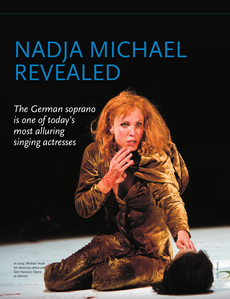# NADJA MICHAEL REVEALED

The German soprano is one of today's most alluring singing actresses

In 2009, Michael made her American debut with San Francisco Opera as Salome.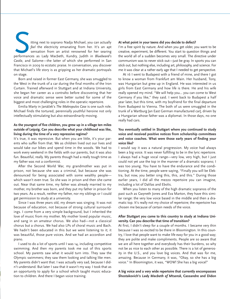Itting next to soprano Nadja Michael, you can actually<br> *feel* the electricity emanating from her. It's an apt<br>
sensation from an artist renowned for her searing<br>
performances as Lady Macbeth, Kundry, Judith in *Bluebeard' feel* the electricity emanating from her. It's an apt sensation from an artist renowned for her searing *Castle*, and Salome—the latter of which she performed in San Francisco in 2009 to ecstatic praise. In conversation, you discover that Michael's life story is as gripping as her dramatic portrayals on stage.

Born and raised in former East Germany, she was smuggled to the West in the trunk of a car during the final months of the Iron Curtain. Trained afterward in Stuttgart and at Indiana University, she began her career as a contralto before discovering that her voice and dramatic sense were better suited for some of the biggest and most challenging roles in the operatic repertoire.

Emilia Marty in Janáček's *The Makropulos Case* is one such role. Michael finds the tortured, perennially youthful heroine not only intellectually stimulating but also extraordinarily moving.

# **as the youngest of five children, you grew up in a village ten miles outside of Leipzig. Can you describe what your childhood was like, living during the time of a very repressive regime?**

It's true, it was repressive. But when you are little, it's your parents who suffer from that. We as children lived out our lives and would take our bikes and spend time in the woods. We had to work every weekend in the fields with our parents, but it was also fun. Beautiful, really. My parents though had a really tough time as my father was not a conformist.

After the Second World War, my grandmother was put in prison, not because she was a criminal, but because she was denounced for being associated with some wealthy people which wasn't even true. So she was in prison and then she came out. Near that same time, my father was already married to my mother, my brother was born, and they put my father in prison for two years. As a result, neither my father, nor my siblings or I could get permission to study at a university.

Since I was three years old, my dream was singing. It was not because of education, not because of strong cultural surroundings. I come from a very simple background, but I inherited the love of music from my mother. My mother loved popular music, and sang in an amateur chorus. We also had—not a classical chorus but a chorus. We had also lPs of choral music and Bach. We hadn't been educated in this but we were listening to it; it was beautiful, those pure voices. And we had an accordion and piano.

I used to do a lot of sports until I was 14, including competitive swimming. And then my parents took me out of this sports school. My parents saw what it would turn into. They saw the olympic swimmers; they saw them looking and talking like men. My parents didn't want that. I was actually very sad, because I didn't understand. But later I saw that it wasn't my way. I took that as an opportunity to apply for a school which taught music education to children. And there I began voice training.

#### **at what point in your teens did you decide to defect?**

I'm a free spirit by nature. And when you get older, you want to be creative, experiment, be different. You start to question things and the world all of a sudden becomes very small. The directive under communism was to never stick out—just be gray. In sports you can stick out, but nothing else, including art, philosophy, and science. For me it was clear at a rather early age that I needed to get perspective.

At 16 I went to Budapest with a friend of mine, and there I got to know a woman from Frankfurt am Main. Her husband, Tony, was Hungarian but grew up in England. He was interested in us girls from East Germany and how life is there. He and his wife really opened my mind. "We will help you… you can come to West Germany if you like," they said. I went back to Budapest a half year later, but this time, with my boyfriend for the final departure from Budapest to vienna. The both of us were smuggled in the trunk of a Wartburg [an East German manufactured car], driven by a Hungarian whose father was a diplomat. In those days, no one really had cars.

# **you eventually settled in Stuttgart where you continued to study voice and received positive notices from scholarship committees and voice coaches. What were those early years of finding your voice like?**

I would say it was a natural progression. My voice had always been a big voice. It was never fulfilling to be in the lyric repertoire. I always had a huge vocal range—very low, very high, but I just could not yet use the top in the manner of a dramatic soprano; I was too young. You have to have the endurance and the conditioning. At the time, people were saying, "Finally you will be Elektra, but now, you better sing this, this, and this." During those earlier years, I did all the mezzo repertoire you can imagine, including a lot of Dalilas and Ebolis.

When you listen to many of the high dramatic sopranos of the past such as Gwyneth Jones and Eva Marton, they have this similar range: the very low voice based in the middle and then a dramatic top. It's really not my choice of repertoire; the repertoire has chosen me because of certain needs of the voice.

### **after Stuttgart you came to this country to study at Indiana University. Can you describe that time of transition?**

At first, I didn't sleep for a couple of months. I became very thin because I was so excited to be there in Bloomington. In this country, I love that people want to make life easy for you in a good way; they are polite and make compliments. People are so aware that we are all here together and everybody has their burdens, so why not be as nice to each other as possible. There is a lot of generosity in the U.S., and you love big voices. And that was for me, amazing. Because in Germany, it was, "Okay, so she has a big voice." In Bloomington, it was, "WoW! She has a big voice!"

#### **a big voice and a very wide repertoire that currently encompasses Shostakovich's** *Lady Macbeth of Mtsensk***, Cassandre and Didon**